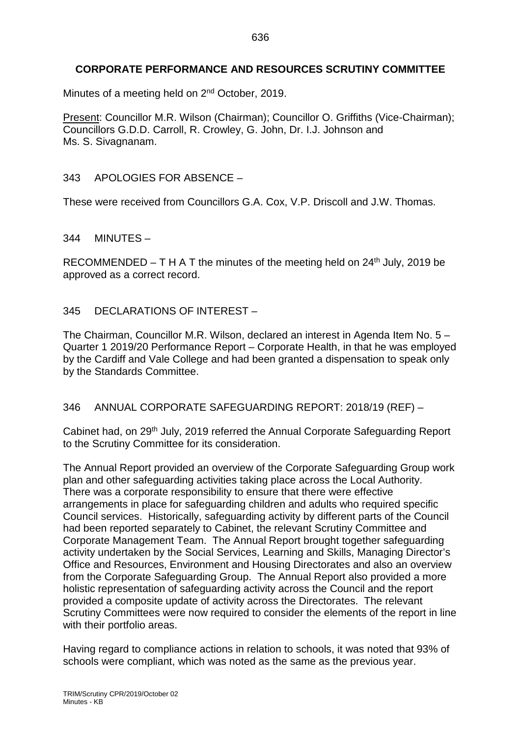# **CORPORATE PERFORMANCE AND RESOURCES SCRUTINY COMMITTEE**

Minutes of a meeting held on 2<sup>nd</sup> October, 2019.

Present: Councillor M.R. Wilson (Chairman); Councillor O. Griffiths (Vice-Chairman); Councillors G.D.D. Carroll, R. Crowley, G. John, Dr. I.J. Johnson and Ms. S. Sivagnanam.

## 343 APOLOGIES FOR ABSENCE –

These were received from Councillors G.A. Cox, V.P. Driscoll and J.W. Thomas.

344 MINUTES –

RECOMMENDED – T H A T the minutes of the meeting held on  $24<sup>th</sup>$  July, 2019 be approved as a correct record.

## 345 DECLARATIONS OF INTEREST –

The Chairman, Councillor M.R. Wilson, declared an interest in Agenda Item No. 5 – Quarter 1 2019/20 Performance Report – Corporate Health, in that he was employed by the Cardiff and Vale College and had been granted a dispensation to speak only by the Standards Committee.

## 346 ANNUAL CORPORATE SAFEGUARDING REPORT: 2018/19 (REF) –

Cabinet had, on 29<sup>th</sup> July, 2019 referred the Annual Corporate Safeguarding Report to the Scrutiny Committee for its consideration.

The Annual Report provided an overview of the Corporate Safeguarding Group work plan and other safeguarding activities taking place across the Local Authority. There was a corporate responsibility to ensure that there were effective arrangements in place for safeguarding children and adults who required specific Council services. Historically, safeguarding activity by different parts of the Council had been reported separately to Cabinet, the relevant Scrutiny Committee and Corporate Management Team. The Annual Report brought together safeguarding activity undertaken by the Social Services, Learning and Skills, Managing Director's Office and Resources, Environment and Housing Directorates and also an overview from the Corporate Safeguarding Group. The Annual Report also provided a more holistic representation of safeguarding activity across the Council and the report provided a composite update of activity across the Directorates. The relevant Scrutiny Committees were now required to consider the elements of the report in line with their portfolio areas.

Having regard to compliance actions in relation to schools, it was noted that 93% of schools were compliant, which was noted as the same as the previous year.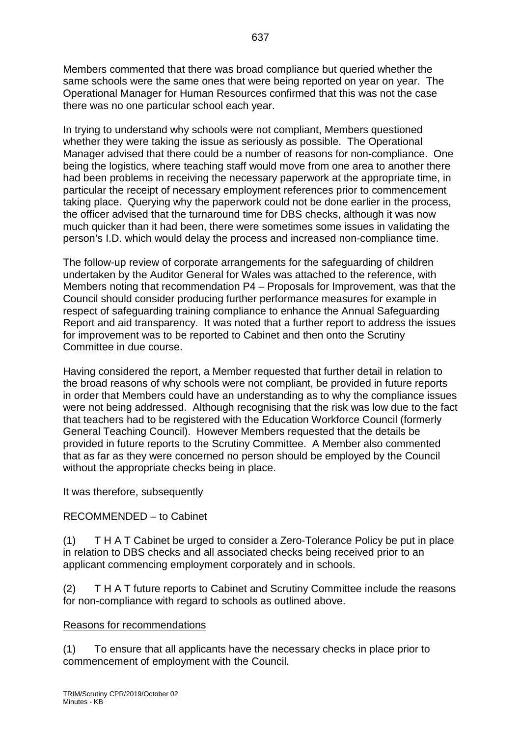Members commented that there was broad compliance but queried whether the same schools were the same ones that were being reported on year on year. The Operational Manager for Human Resources confirmed that this was not the case there was no one particular school each year.

637

In trying to understand why schools were not compliant, Members questioned whether they were taking the issue as seriously as possible. The Operational Manager advised that there could be a number of reasons for non-compliance. One being the logistics, where teaching staff would move from one area to another there had been problems in receiving the necessary paperwork at the appropriate time, in particular the receipt of necessary employment references prior to commencement taking place. Querying why the paperwork could not be done earlier in the process, the officer advised that the turnaround time for DBS checks, although it was now much quicker than it had been, there were sometimes some issues in validating the person's I.D. which would delay the process and increased non-compliance time.

The follow-up review of corporate arrangements for the safeguarding of children undertaken by the Auditor General for Wales was attached to the reference, with Members noting that recommendation P4 – Proposals for Improvement, was that the Council should consider producing further performance measures for example in respect of safeguarding training compliance to enhance the Annual Safeguarding Report and aid transparency. It was noted that a further report to address the issues for improvement was to be reported to Cabinet and then onto the Scrutiny Committee in due course.

Having considered the report, a Member requested that further detail in relation to the broad reasons of why schools were not compliant, be provided in future reports in order that Members could have an understanding as to why the compliance issues were not being addressed. Although recognising that the risk was low due to the fact that teachers had to be registered with the Education Workforce Council (formerly General Teaching Council). However Members requested that the details be provided in future reports to the Scrutiny Committee. A Member also commented that as far as they were concerned no person should be employed by the Council without the appropriate checks being in place.

It was therefore, subsequently

# RECOMMENDED – to Cabinet

(1) T H A T Cabinet be urged to consider a Zero-Tolerance Policy be put in place in relation to DBS checks and all associated checks being received prior to an applicant commencing employment corporately and in schools.

(2) T H A T future reports to Cabinet and Scrutiny Committee include the reasons for non-compliance with regard to schools as outlined above.

# Reasons for recommendations

(1) To ensure that all applicants have the necessary checks in place prior to commencement of employment with the Council.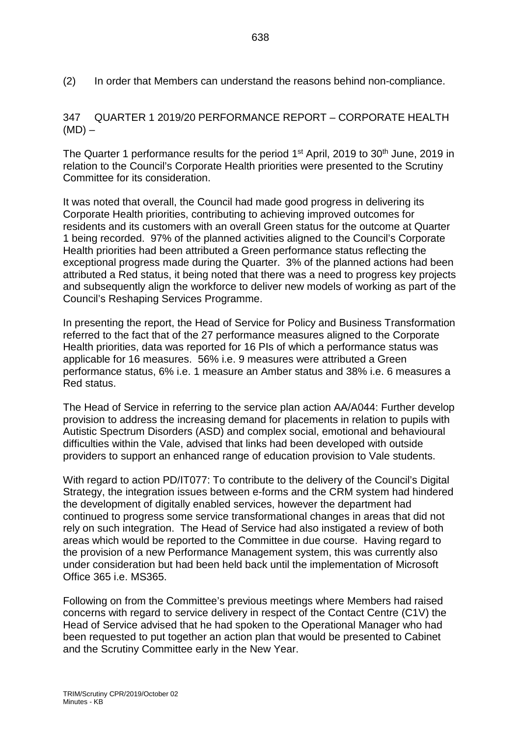(2) In order that Members can understand the reasons behind non-compliance.

347 QUARTER 1 2019/20 PERFORMANCE REPORT – CORPORATE HEALTH  $(MD)$  –

The Quarter 1 performance results for the period 1<sup>st</sup> April, 2019 to 30<sup>th</sup> June, 2019 in relation to the Council's Corporate Health priorities were presented to the Scrutiny Committee for its consideration.

It was noted that overall, the Council had made good progress in delivering its Corporate Health priorities, contributing to achieving improved outcomes for residents and its customers with an overall Green status for the outcome at Quarter 1 being recorded. 97% of the planned activities aligned to the Council's Corporate Health priorities had been attributed a Green performance status reflecting the exceptional progress made during the Quarter. 3% of the planned actions had been attributed a Red status, it being noted that there was a need to progress key projects and subsequently align the workforce to deliver new models of working as part of the Council's Reshaping Services Programme.

In presenting the report, the Head of Service for Policy and Business Transformation referred to the fact that of the 27 performance measures aligned to the Corporate Health priorities, data was reported for 16 PIs of which a performance status was applicable for 16 measures. 56% i.e. 9 measures were attributed a Green performance status, 6% i.e. 1 measure an Amber status and 38% i.e. 6 measures a Red status.

The Head of Service in referring to the service plan action AA/A044: Further develop provision to address the increasing demand for placements in relation to pupils with Autistic Spectrum Disorders (ASD) and complex social, emotional and behavioural difficulties within the Vale, advised that links had been developed with outside providers to support an enhanced range of education provision to Vale students.

With regard to action PD/IT077: To contribute to the delivery of the Council's Digital Strategy, the integration issues between e-forms and the CRM system had hindered the development of digitally enabled services, however the department had continued to progress some service transformational changes in areas that did not rely on such integration. The Head of Service had also instigated a review of both areas which would be reported to the Committee in due course. Having regard to the provision of a new Performance Management system, this was currently also under consideration but had been held back until the implementation of Microsoft Office 365 i.e. MS365.

Following on from the Committee's previous meetings where Members had raised concerns with regard to service delivery in respect of the Contact Centre (C1V) the Head of Service advised that he had spoken to the Operational Manager who had been requested to put together an action plan that would be presented to Cabinet and the Scrutiny Committee early in the New Year.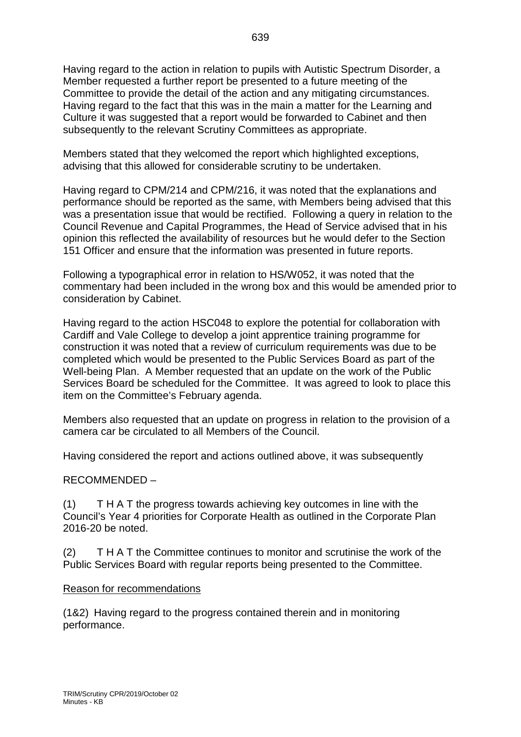Having regard to the action in relation to pupils with Autistic Spectrum Disorder, a Member requested a further report be presented to a future meeting of the Committee to provide the detail of the action and any mitigating circumstances. Having regard to the fact that this was in the main a matter for the Learning and Culture it was suggested that a report would be forwarded to Cabinet and then subsequently to the relevant Scrutiny Committees as appropriate.

Members stated that they welcomed the report which highlighted exceptions, advising that this allowed for considerable scrutiny to be undertaken.

Having regard to CPM/214 and CPM/216, it was noted that the explanations and performance should be reported as the same, with Members being advised that this was a presentation issue that would be rectified. Following a query in relation to the Council Revenue and Capital Programmes, the Head of Service advised that in his opinion this reflected the availability of resources but he would defer to the Section 151 Officer and ensure that the information was presented in future reports.

Following a typographical error in relation to HS/W052, it was noted that the commentary had been included in the wrong box and this would be amended prior to consideration by Cabinet.

Having regard to the action HSC048 to explore the potential for collaboration with Cardiff and Vale College to develop a joint apprentice training programme for construction it was noted that a review of curriculum requirements was due to be completed which would be presented to the Public Services Board as part of the Well-being Plan. A Member requested that an update on the work of the Public Services Board be scheduled for the Committee. It was agreed to look to place this item on the Committee's February agenda.

Members also requested that an update on progress in relation to the provision of a camera car be circulated to all Members of the Council.

Having considered the report and actions outlined above, it was subsequently

## RECOMMENDED –

(1) T H A T the progress towards achieving key outcomes in line with the Council's Year 4 priorities for Corporate Health as outlined in the Corporate Plan 2016-20 be noted.

(2) T H A T the Committee continues to monitor and scrutinise the work of the Public Services Board with regular reports being presented to the Committee.

#### Reason for recommendations

(1&2) Having regard to the progress contained therein and in monitoring performance.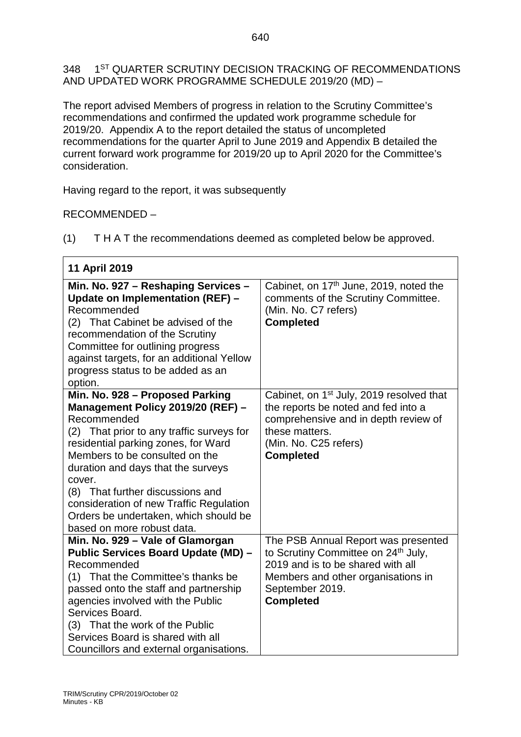348 1<sup>ST</sup> QUARTER SCRUTINY DECISION TRACKING OF RECOMMENDATIONS AND UPDATED WORK PROGRAMME SCHEDULE 2019/20 (MD) –

The report advised Members of progress in relation to the Scrutiny Committee's recommendations and confirmed the updated work programme schedule for 2019/20. Appendix A to the report detailed the status of uncompleted recommendations for the quarter April to June 2019 and Appendix B detailed the current forward work programme for 2019/20 up to April 2020 for the Committee's consideration.

Having regard to the report, it was subsequently

RECOMMENDED –

 $\Box$ 

(1) T H A T the recommendations deemed as completed below be approved.

٦

| 11 April 2019                                                                                                                                                                                                                                                                                                                                                                |                                                                                                                                                                                              |
|------------------------------------------------------------------------------------------------------------------------------------------------------------------------------------------------------------------------------------------------------------------------------------------------------------------------------------------------------------------------------|----------------------------------------------------------------------------------------------------------------------------------------------------------------------------------------------|
| Min. No. 927 - Reshaping Services -<br>Update on Implementation (REF) -<br>Recommended<br>(2) That Cabinet be advised of the<br>recommendation of the Scrutiny<br>Committee for outlining progress<br>against targets, for an additional Yellow<br>progress status to be added as an<br>option.                                                                              | Cabinet, on 17 <sup>th</sup> June, 2019, noted the<br>comments of the Scrutiny Committee.<br>(Min. No. C7 refers)<br><b>Completed</b>                                                        |
| Min. No. 928 - Proposed Parking                                                                                                                                                                                                                                                                                                                                              | Cabinet, on 1 <sup>st</sup> July, 2019 resolved that                                                                                                                                         |
| Management Policy 2019/20 (REF) -<br>Recommended<br>(2) That prior to any traffic surveys for<br>residential parking zones, for Ward<br>Members to be consulted on the<br>duration and days that the surveys<br>cover.<br>(8) That further discussions and<br>consideration of new Traffic Regulation<br>Orders be undertaken, which should be<br>based on more robust data. | the reports be noted and fed into a<br>comprehensive and in depth review of<br>these matters.<br>(Min. No. C25 refers)<br><b>Completed</b>                                                   |
| Min. No. 929 - Vale of Glamorgan<br><b>Public Services Board Update (MD) -</b><br>Recommended<br>(1) That the Committee's thanks be<br>passed onto the staff and partnership<br>agencies involved with the Public<br>Services Board.<br>(3) That the work of the Public<br>Services Board is shared with all<br>Councillors and external organisations.                      | The PSB Annual Report was presented<br>to Scrutiny Committee on 24th July,<br>2019 and is to be shared with all<br>Members and other organisations in<br>September 2019.<br><b>Completed</b> |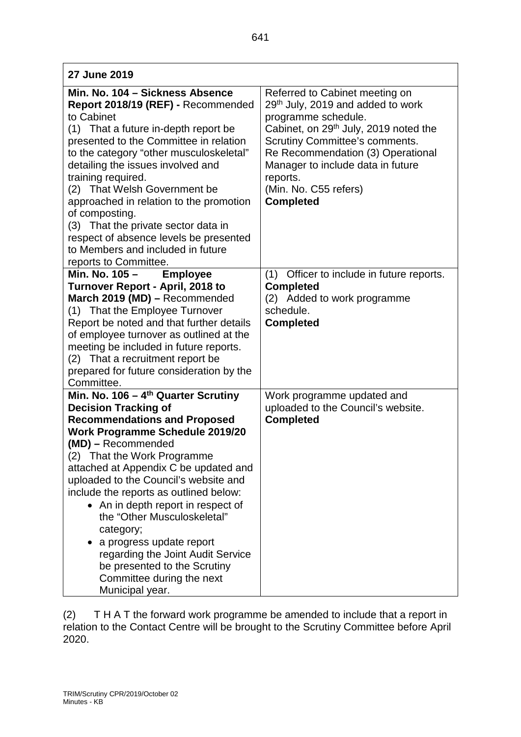| Min. No. 104 - Sickness Absence                                                 | Referred to Cabinet meeting on                    |
|---------------------------------------------------------------------------------|---------------------------------------------------|
| Report 2018/19 (REF) - Recommended                                              | 29 <sup>th</sup> July, 2019 and added to work     |
| to Cabinet                                                                      | programme schedule.                               |
| (1) That a future in-depth report be                                            | Cabinet, on 29 <sup>th</sup> July, 2019 noted the |
| presented to the Committee in relation                                          | <b>Scrutiny Committee's comments.</b>             |
| to the category "other musculoskeletal"                                         | Re Recommendation (3) Operational                 |
| detailing the issues involved and                                               | Manager to include data in future                 |
| training required.                                                              | reports.                                          |
| (2) That Welsh Government be                                                    | (Min. No. C55 refers)                             |
| approached in relation to the promotion                                         | <b>Completed</b>                                  |
| of composting.                                                                  |                                                   |
| (3) That the private sector data in                                             |                                                   |
| respect of absence levels be presented                                          |                                                   |
| to Members and included in future                                               |                                                   |
| reports to Committee.                                                           |                                                   |
| Min. No. 105 -<br><b>Employee</b>                                               | Officer to include in future reports.<br>(1)      |
| <b>Turnover Report - April, 2018 to</b>                                         | <b>Completed</b>                                  |
| March 2019 (MD) - Recommended                                                   | (2) Added to work programme                       |
| (1) That the Employee Turnover                                                  | schedule.                                         |
| Report be noted and that further details                                        | <b>Completed</b>                                  |
| of employee turnover as outlined at the                                         |                                                   |
| meeting be included in future reports.                                          |                                                   |
| That a recruitment report be<br>(2)                                             |                                                   |
| prepared for future consideration by the                                        |                                                   |
| Committee.                                                                      |                                                   |
| Min. No. 106 – $4th$ Quarter Scrutiny                                           | Work programme updated and                        |
| <b>Decision Tracking of</b>                                                     | uploaded to the Council's website.                |
| <b>Recommendations and Proposed</b>                                             | <b>Completed</b>                                  |
| <b>Work Programme Schedule 2019/20</b><br>(MD) - Recommended                    |                                                   |
|                                                                                 |                                                   |
| (2) That the Work Programme                                                     |                                                   |
| attached at Appendix C be updated and                                           |                                                   |
| uploaded to the Council's website and<br>include the reports as outlined below: |                                                   |
| • An in depth report in respect of                                              |                                                   |
| the "Other Musculoskeletal"                                                     |                                                   |
|                                                                                 |                                                   |
| category;                                                                       |                                                   |
| a progress update report                                                        |                                                   |
| regarding the Joint Audit Service                                               |                                                   |
| be presented to the Scrutiny                                                    |                                                   |
| Committee during the next                                                       |                                                   |

(2) T H A T the forward work programme be amended to include that a report in relation to the Contact Centre will be brought to the Scrutiny Committee before April 2020.

Municipal year.

**27 June 2019**